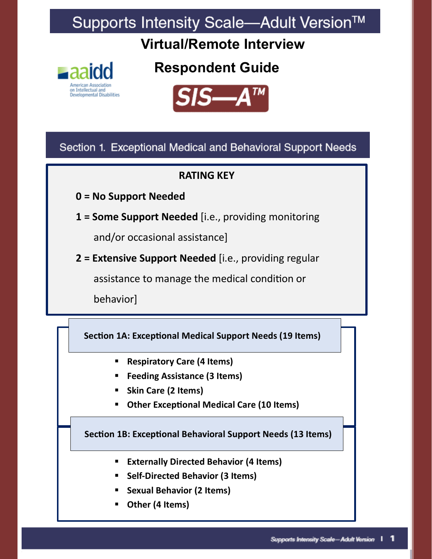# Supports Intensity Scale-Adult Version™

**Virtual/Remote Interview**



**Respondent Guide** 



Section 1. Exceptional Medical and Behavioral Support Needs

### **RATING KEY**

- **0 = No Support Needed**
- **1 = Some Support Needed** [i.e., providing monitoring

and/or occasional assistance]

 **2 = Extensive Support Needed** [i.e., providing regular

assistance to manage the medical condition or

behavior]

 **Section 1A: Exceptional Medical Support Needs (19 Items)**

- **Respiratory Care (4 Items)**
- **Feeding Assistance (3 Items)**
- **Skin Care (2 Items)**
- **Other Exceptional Medical Care (10 Items)**

 **Section 1B: Exceptional Behavioral Support Needs (13 Items)**

- **Externally Directed Behavior (4 Items) eptional Medical Support Needs (19 Items)**
	- **Self-Directed Behavior (3 Items)**
	- **Sexual Behavior (2 Items)**
	- **Other (4 Items)**